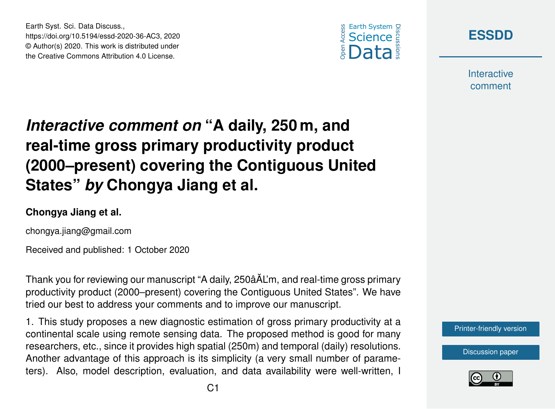Earth Syst. Sci. Data Discuss., https://doi.org/10.5194/essd-2020-36-AC3, 2020 © Author(s) 2020. This work is distributed under the Creative Commons Attribution 4.0 License.





**Interactive** comment

## *Interactive comment on* **"A daily, 250 m, and real-time gross primary productivity product (2000–present) covering the Contiguous United States"** *by* **Chongya Jiang et al.**

## **Chongya Jiang et al.**

chongya.jiang@gmail.com

Received and published: 1 October 2020

Thank you for reviewing our manuscript "A daily, 250âAL'm, and real-time gross primary ˘ productivity product (2000–present) covering the Contiguous United States". We have tried our best to address your comments and to improve our manuscript.

1. This study proposes a new diagnostic estimation of gross primary productivity at a continental scale using remote sensing data. The proposed method is good for many researchers, etc., since it provides high spatial (250m) and temporal (daily) resolutions. Another advantage of this approach is its simplicity (a very small number of parameters). Also, model description, evaluation, and data availability were well-written, I

[Printer-friendly version](https://essd.copernicus.org/preprints/essd-2020-36/essd-2020-36-AC3-print.pdf)

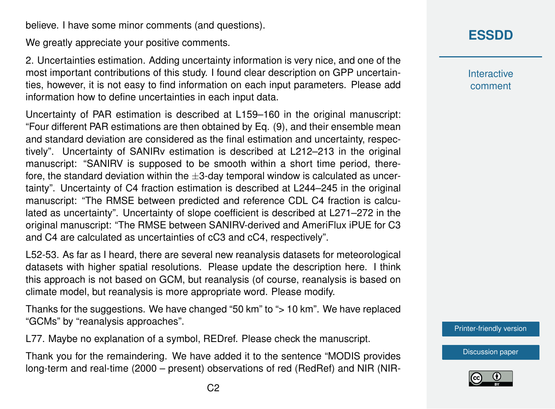believe. I have some minor comments (and questions).

We greatly appreciate your positive comments.

2. Uncertainties estimation. Adding uncertainty information is very nice, and one of the most important contributions of this study. I found clear description on GPP uncertainties, however, it is not easy to find information on each input parameters. Please add information how to define uncertainties in each input data.

Uncertainty of PAR estimation is described at L159–160 in the original manuscript: "Four different PAR estimations are then obtained by Eq. (9), and their ensemble mean and standard deviation are considered as the final estimation and uncertainty, respectively". Uncertainty of SANIRv estimation is described at L212–213 in the original manuscript: "SANIRV is supposed to be smooth within a short time period, therefore, the standard deviation within the  $\pm 3$ -day temporal window is calculated as uncertainty". Uncertainty of C4 fraction estimation is described at L244–245 in the original manuscript: "The RMSE between predicted and reference CDL C4 fraction is calculated as uncertainty". Uncertainty of slope coefficient is described at L271–272 in the original manuscript: "The RMSE between SANIRV-derived and AmeriFlux iPUE for C3 and C4 are calculated as uncertainties of cC3 and cC4, respectively".

L52-53. As far as I heard, there are several new reanalysis datasets for meteorological datasets with higher spatial resolutions. Please update the description here. I think this approach is not based on GCM, but reanalysis (of course, reanalysis is based on climate model, but reanalysis is more appropriate word. Please modify.

Thanks for the suggestions. We have changed "50 km" to "> 10 km". We have replaced "GCMs" by "reanalysis approaches".

L77. Maybe no explanation of a symbol, REDref. Please check the manuscript.

Thank you for the remaindering. We have added it to the sentence "MODIS provides long-term and real-time (2000 – present) observations of red (RedRef) and NIR (NIR- **Interactive** comment

[Printer-friendly version](https://essd.copernicus.org/preprints/essd-2020-36/essd-2020-36-AC3-print.pdf)

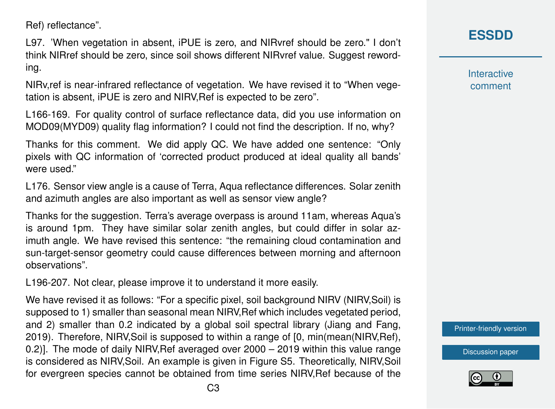Ref) reflectance".

L97. 'When vegetation in absent, iPUE is zero, and NIRvref should be zero." I don't think NIRref should be zero, since soil shows different NIRvref value. Suggest rewording.

NIRv,ref is near-infrared reflectance of vegetation. We have revised it to "When vegetation is absent, iPUE is zero and NIRV,Ref is expected to be zero".

L166-169. For quality control of surface reflectance data, did you use information on MOD09(MYD09) quality flag information? I could not find the description. If no, why?

Thanks for this comment. We did apply QC. We have added one sentence: "Only pixels with QC information of 'corrected product produced at ideal quality all bands' were used."

L176. Sensor view angle is a cause of Terra, Aqua reflectance differences. Solar zenith and azimuth angles are also important as well as sensor view angle?

Thanks for the suggestion. Terra's average overpass is around 11am, whereas Aqua's is around 1pm. They have similar solar zenith angles, but could differ in solar azimuth angle. We have revised this sentence: "the remaining cloud contamination and sun-target-sensor geometry could cause differences between morning and afternoon observations".

L196-207. Not clear, please improve it to understand it more easily.

We have revised it as follows: "For a specific pixel, soil background NIRV (NIRV,Soil) is supposed to 1) smaller than seasonal mean NIRV,Ref which includes vegetated period, and 2) smaller than 0.2 indicated by a global soil spectral library (Jiang and Fang, 2019). Therefore, NIRV,Soil is supposed to within a range of [0, min(mean(NIRV,Ref), 0.2)]. The mode of daily NIRV,Ref averaged over 2000 – 2019 within this value range is considered as NIRV,Soil. An example is given in Figure S5. Theoretically, NIRV,Soil for evergreen species cannot be obtained from time series NIRV,Ref because of the **[ESSDD](https://essd.copernicus.org/preprints/)**

**Interactive** comment

[Printer-friendly version](https://essd.copernicus.org/preprints/essd-2020-36/essd-2020-36-AC3-print.pdf)